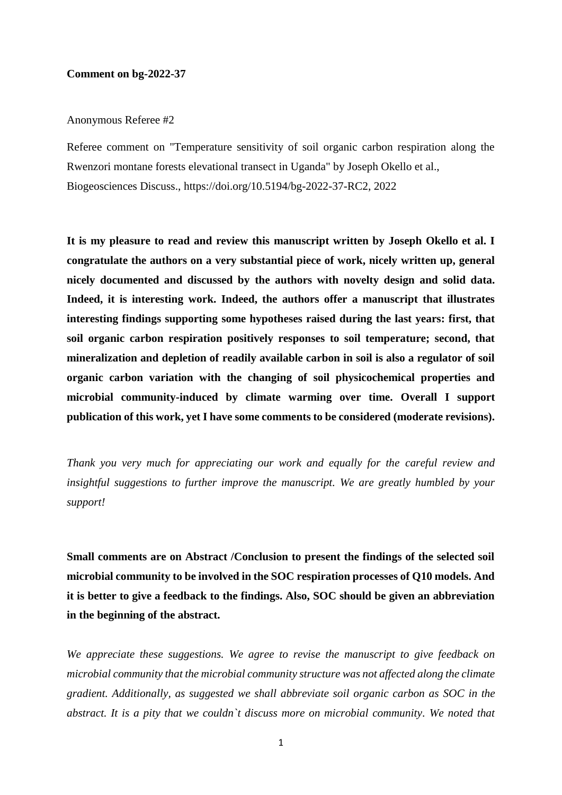## **Comment on bg-2022-37**

## Anonymous Referee #2

Referee comment on "Temperature sensitivity of soil organic carbon respiration along the Rwenzori montane forests elevational transect in Uganda" by Joseph Okello et al., Biogeosciences Discuss., https://doi.org/10.5194/bg-2022-37-RC2, 2022

**It is my pleasure to read and review this manuscript written by Joseph Okello et al. I congratulate the authors on a very substantial piece of work, nicely written up, general nicely documented and discussed by the authors with novelty design and solid data. Indeed, it is interesting work. Indeed, the authors offer a manuscript that illustrates interesting findings supporting some hypotheses raised during the last years: first, that soil organic carbon respiration positively responses to soil temperature; second, that mineralization and depletion of readily available carbon in soil is also a regulator of soil organic carbon variation with the changing of soil physicochemical properties and microbial community-induced by climate warming over time. Overall I support publication of this work, yet I have some comments to be considered (moderate revisions).**

*Thank you very much for appreciating our work and equally for the careful review and insightful suggestions to further improve the manuscript. We are greatly humbled by your support!*

**Small comments are on Abstract /Conclusion to present the findings of the selected soil microbial community to be involved in the SOC respiration processes of Q10 models. And it is better to give a feedback to the findings. Also, SOC should be given an abbreviation in the beginning of the abstract.**

*We appreciate these suggestions. We agree to revise the manuscript to give feedback on microbial community that the microbial community structure was not affected along the climate gradient. Additionally, as suggested we shall abbreviate soil organic carbon as SOC in the abstract. It is a pity that we couldn`t discuss more on microbial community. We noted that*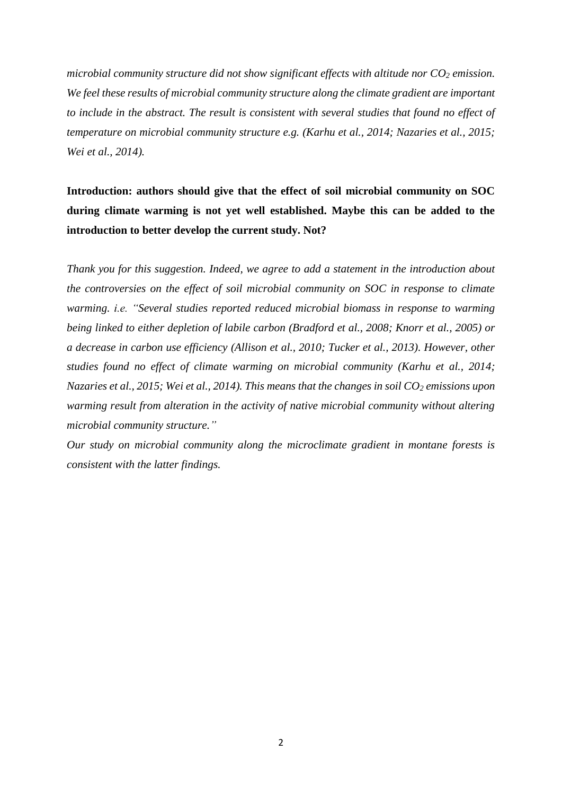*microbial community structure did not show significant effects with altitude nor CO<sup>2</sup> emission. We feel these results of microbial community structure along the climate gradient are important to include in the abstract. The result is consistent with several studies that found no effect of temperature on microbial community structure e.g. (Karhu et al., 2014; Nazaries et al., 2015; Wei et al., 2014).*

**Introduction: authors should give that the effect of soil microbial community on SOC during climate warming is not yet well established. Maybe this can be added to the introduction to better develop the current study. Not?**

*Thank you for this suggestion. Indeed, we agree to add a statement in the introduction about the controversies on the effect of soil microbial community on SOC in response to climate warming. i.e. "Several studies reported reduced microbial biomass in response to warming being linked to either depletion of labile carbon (Bradford et al., 2008; Knorr et al., 2005) or a decrease in carbon use efficiency (Allison et al., 2010; Tucker et al., 2013). However, other studies found no effect of climate warming on microbial community (Karhu et al., 2014; Nazaries et al., 2015; Wei et al., 2014). This means that the changes in soil CO<sup>2</sup> emissions upon warming result from alteration in the activity of native microbial community without altering microbial community structure."*

*Our study on microbial community along the microclimate gradient in montane forests is consistent with the latter findings.*